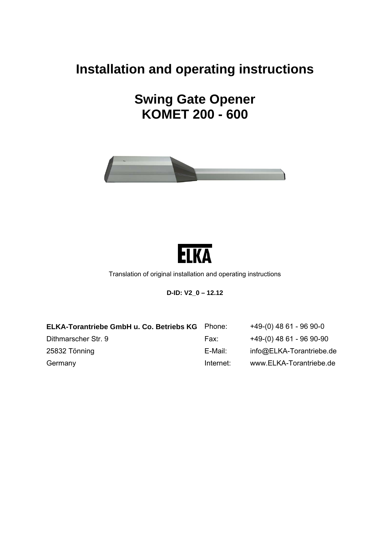# **Installation and operating instructions**

**Swing Gate Opener KOMET 200 - 600** 





Translation of original installation and operating instructions

**D-ID: V2\_0 – 12.12** 

| ELKA-Torantriebe GmbH u. Co. Betriebs KG | Phone:    | $+49-(0)$ 48 61 - 96 90-0 |
|------------------------------------------|-----------|---------------------------|
| Dithmarscher Str. 9                      | Fax:      | +49-(0) 48 61 - 96 90-90  |
| 25832 Tönning                            | E-Mail:   | info@ELKA-Torantriebe.de  |
| Germany                                  | Internet: | www.ELKA-Torantriebe.de   |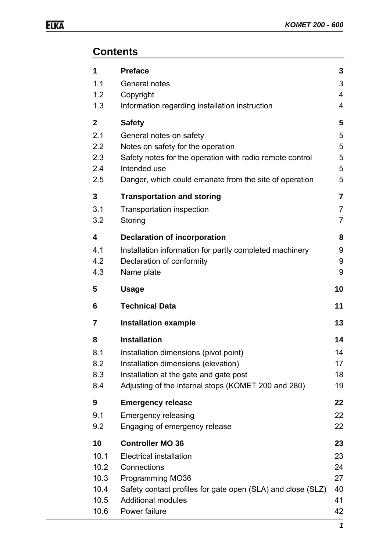# **Contents**

| 1           | <b>Preface</b>                                              | 3              |
|-------------|-------------------------------------------------------------|----------------|
| 1.1         | General notes                                               | 3              |
| 1.2         | Copyright                                                   | 4              |
| 1.3         | Information regarding installation instruction              | 4              |
| $\mathbf 2$ | <b>Safety</b>                                               | 5              |
| 2.1         | General notes on safety                                     | 5              |
| 2.2         | Notes on safety for the operation                           | 5              |
| 2.3         | Safety notes for the operation with radio remote control    | 5              |
| 2.4         | Intended use                                                | 5              |
| 2.5         | Danger, which could emanate from the site of operation      | 5              |
| 3           | <b>Transportation and storing</b>                           | $\overline{7}$ |
| 3.1         | <b>Transportation inspection</b>                            | $\overline{7}$ |
| 3.2         | Storing                                                     | $\overline{7}$ |
| 4           | <b>Declaration of incorporation</b>                         | 8              |
| 4.1         | Installation information for partly completed machinery     | 9              |
| 4.2         | Declaration of conformity                                   | 9              |
| 4.3         | Name plate                                                  | 9              |
| 5           | <b>Usage</b>                                                | 10             |
|             |                                                             |                |
| 6           | <b>Technical Data</b>                                       | 11             |
| 7           | <b>Installation example</b>                                 | 13             |
| 8           | <b>Installation</b>                                         | 14             |
| 8.1         | Installation dimensions (pivot point)                       | 14             |
| 8.2         | Installation dimensions (elevation)                         |                |
| 8.3         | Installation at the gate and gate post                      | 17<br>18       |
| 8.4         | Adjusting of the internal stops (KOMET 200 and 280)         | 19             |
| 9           | <b>Emergency release</b>                                    | 22             |
| 9.1         | <b>Emergency releasing</b>                                  | 22             |
| 9.2         | Engaging of emergency release                               | 22             |
| 10          | <b>Controller MO 36</b>                                     | 23             |
| 10.1        | <b>Electrical installation</b>                              | 23             |
| 10.2        | Connections                                                 | 24             |
| 10.3        | <b>Programming MO36</b>                                     | 27             |
| 10.4        | Safety contact profiles for gate open (SLA) and close (SLZ) | 40             |
| 10.5        | <b>Additional modules</b>                                   | 41             |
| 10.6        | Power failure                                               | 42<br>1        |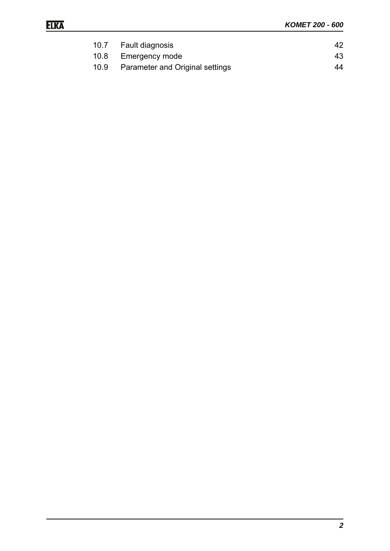| 10.7 Fault diagnosis                 | 42 |
|--------------------------------------|----|
| 10.8 Emergency mode                  | 43 |
| 10.9 Parameter and Original settings | 44 |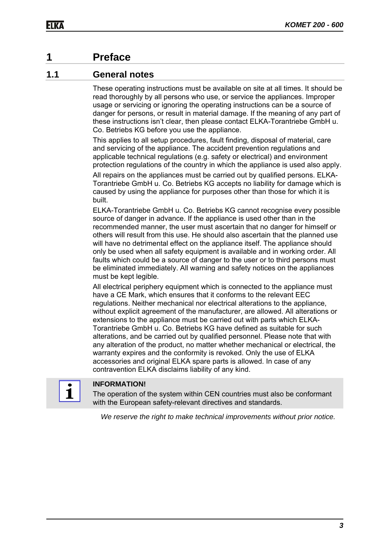## **1 Preface**

### **1.1 General notes**

These operating instructions must be available on site at all times. It should be read thoroughly by all persons who use, or service the appliances. Improper usage or servicing or ignoring the operating instructions can be a source of danger for persons, or result in material damage. If the meaning of any part of these instructions isn't clear, then please contact ELKA-Torantriebe GmbH u. Co. Betriebs KG before you use the appliance.

This applies to all setup procedures, fault finding, disposal of material, care and servicing of the appliance. The accident prevention regulations and applicable technical regulations (e.g. safety or electrical) and environment protection regulations of the country in which the appliance is used also apply.

All repairs on the appliances must be carried out by qualified persons. ELKA-Torantriebe GmbH u. Co. Betriebs KG accepts no liability for damage which is caused by using the appliance for purposes other than those for which it is built.

ELKA-Torantriebe GmbH u. Co. Betriebs KG cannot recognise every possible source of danger in advance. If the appliance is used other than in the recommended manner, the user must ascertain that no danger for himself or others will result from this use. He should also ascertain that the planned use will have no detrimental effect on the appliance itself. The appliance should only be used when all safety equipment is available and in working order. All faults which could be a source of danger to the user or to third persons must be eliminated immediately. All warning and safety notices on the appliances must be kept legible.

All electrical periphery equipment which is connected to the appliance must have a CE Mark, which ensures that it conforms to the relevant EEC regulations. Neither mechanical nor electrical alterations to the appliance, without explicit agreement of the manufacturer, are allowed. All alterations or extensions to the appliance must be carried out with parts which ELKA-Torantriebe GmbH u. Co. Betriebs KG have defined as suitable for such alterations, and be carried out by qualified personnel. Please note that with any alteration of the product, no matter whether mechanical or electrical, the warranty expires and the conformity is revoked. Only the use of ELKA accessories and original ELKA spare parts is allowed. In case of any contravention ELKA disclaims liability of any kind.



#### **INFORMATION!**

The operation of the system within CEN countries must also be conformant with the European safety-relevant directives and standards.

*We reserve the right to make technical improvements without prior notice.*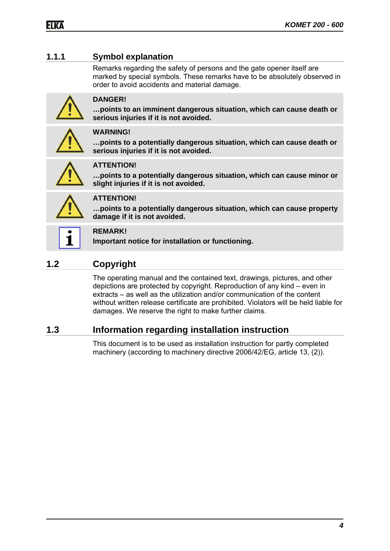### **1.1.1 Symbol explanation**

Remarks regarding the safety of persons and the gate opener itself are marked by special symbols. These remarks have to be absolutely observed in order to avoid accidents and material damage.



#### **DANGER!**

**…points to an imminent dangerous situation, which can cause death or serious injuries if it is not avoided.** 



#### **WARNING!**

**…points to a potentially dangerous situation, which can cause death or serious injuries if it is not avoided.** 



### **ATTENTION!**

**…points to a potentially dangerous situation, which can cause minor or slight injuries if it is not avoided.** 



### **ATTENTION!**

**…points to a potentially dangerous situation, which can cause property damage if it is not avoided.** 

#### **REMARK!**

**Important notice for installation or functioning.** 

## **1.2 Copyright**

The operating manual and the contained text, drawings, pictures, and other depictions are protected by copyright. Reproduction of any kind – even in extracts – as well as the utilization and/or communication of the content without written release certificate are prohibited. Violators will be held liable for damages. We reserve the right to make further claims.

### **1.3 Information regarding installation instruction**

This document is to be used as installation instruction for partly completed machinery (according to machinery directive 2006/42/EG, article 13, (2)).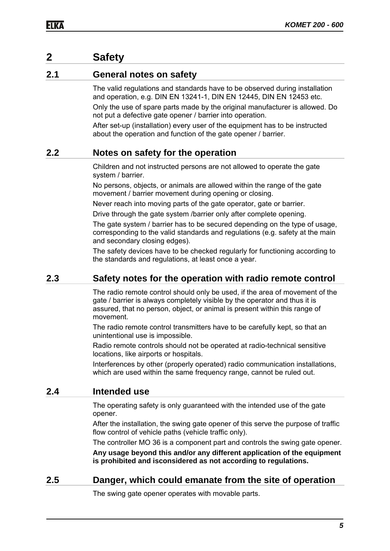### **2 Safety**

#### **2.1 General notes on safety**

The valid regulations and standards have to be observed during installation and operation, e.g. DIN EN 13241-1, DIN EN 12445, DIN EN 12453 etc.

Only the use of spare parts made by the original manufacturer is allowed. Do not put a defective gate opener / barrier into operation.

After set-up (installation) every user of the equipment has to be instructed about the operation and function of the gate opener / barrier.

#### **2.2 Notes on safety for the operation**

Children and not instructed persons are not allowed to operate the gate system / barrier.

No persons, objects, or animals are allowed within the range of the gate movement / barrier movement during opening or closing.

Never reach into moving parts of the gate operator, gate or barrier.

Drive through the gate system /barrier only after complete opening.

The gate system / barrier has to be secured depending on the type of usage, corresponding to the valid standards and regulations (e.g. safety at the main and secondary closing edges).

The safety devices have to be checked regularly for functioning according to the standards and regulations, at least once a year.

### **2.3 Safety notes for the operation with radio remote control**

The radio remote control should only be used, if the area of movement of the gate / barrier is always completely visible by the operator and thus it is assured, that no person, object, or animal is present within this range of movement.

The radio remote control transmitters have to be carefully kept, so that an unintentional use is impossible.

Radio remote controls should not be operated at radio-technical sensitive locations, like airports or hospitals.

Interferences by other (properly operated) radio communication installations, which are used within the same frequency range, cannot be ruled out.

#### **2.4 Intended use**

The operating safety is only guaranteed with the intended use of the gate opener.

After the installation, the swing gate opener of this serve the purpose of traffic flow control of vehicle paths (vehicle traffic only).

The controller MO 36 is a component part and controls the swing gate opener.

**Any usage beyond this and/or any different application of the equipment is prohibited and isconsidered as not according to regulations.**

#### **2.5 Danger, which could emanate from the site of operation**

The swing gate opener operates with movable parts.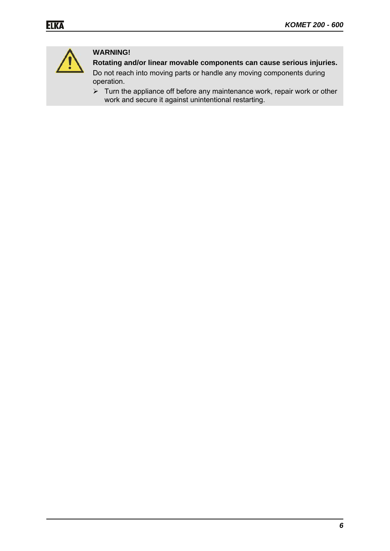

### **WARNING!**

**Rotating and/or linear movable components can cause serious injuries.** 

Do not reach into moving parts or handle any moving components during operation.

 $\triangleright$  Turn the appliance off before any maintenance work, repair work or other work and secure it against unintentional restarting.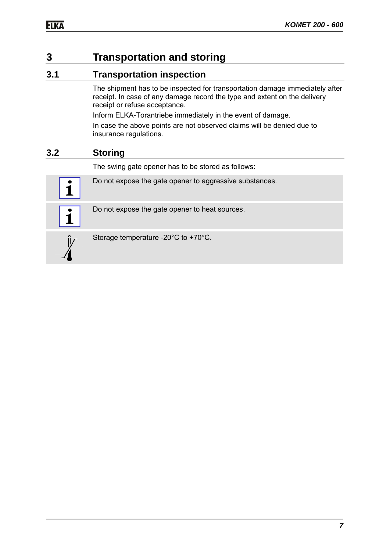# **3 Transportation and storing**

### **3.1 Transportation inspection**

The shipment has to be inspected for transportation damage immediately after receipt. In case of any damage record the type and extent on the delivery receipt or refuse acceptance.

Inform ELKA-Torantriebe immediately in the event of damage.

In case the above points are not observed claims will be denied due to insurance regulations.

### **3.2 Storing**

The swing gate opener has to be stored as follows:





1

Do not expose the gate opener to heat sources.



Storage temperature -20°C to +70°C.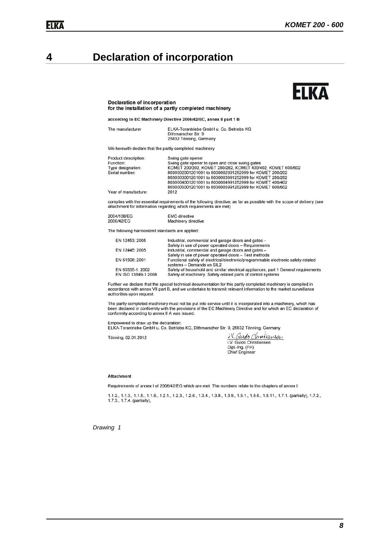# **4 Declaration of incorporation**

# **HKA**

#### **Declaration of incorporation** for the installation of a partly completed machinery

according to EC Machinery Directive 2006/42/EC, annex II part 1 B

| The manufacturer | ELKA-Torantriebe GmbH u. Co. Betriebs KG |
|------------------|------------------------------------------|
|                  | Dithmarscher Str. 9                      |
|                  | 25832 Tönning, Germany                   |

We herewith declare that the partly completed machinery

| Product description: | Swing gate opener                                          |
|----------------------|------------------------------------------------------------|
| Function:            | Swing gate opener to open and close swing gates            |
| Type designation:    | KOMET 200/202, KOMET 280/282, KOMET 400/402, KOMET 600/602 |
| Serial number:       | 8030002001201001 to 8030002991252999 for KOMET 200/202     |
|                      | 8030003001201001 to 8030003991252999 for KOMET 280/282     |
|                      | 8030004001201001 to 8030004991252999 for KOMET 400/402     |
|                      | 8030005001201001 to 8030005991252999 for KOMET 600/602     |
| Year of manufacture: | 2012                                                       |

complies with the essential requirements of the following directive, as far as possible with the scope of delivery (see attachment for information regarding which requirements are met)

| 2004/108/EG | <b>EMC-directive</b> |  |
|-------------|----------------------|--|
| 2006/42/EG  | Machinery directive  |  |

The following harmonized standards are applied:

| EN 12453: 2005      | Industrial, commercial and garage doors and gates -                                                            |
|---------------------|----------------------------------------------------------------------------------------------------------------|
|                     | Safety in use of power operated doors - Requirements                                                           |
| EN 12445: 2005      | Industrial, commercial and garage doors and gates -                                                            |
|                     | Safety in use of power operated doors - Test methods                                                           |
| EN 61508: 2001      | Functional safety of electrical/electronic/programmable electronic safety-related<br>systems - Demands on SIL2 |
| EN 60335-1: 2002    | Safety of household and similar electrical appliances, part 1 General requirements                             |
| EN ISO 13849-1:2008 | Safety of machinery. Safety related parts of control systems                                                   |

Further we declare that the special technical documentation for this partly completed machinery is compiled in<br>accordance with annex VII part B, and we undertake to transmit relevant information to the market surveillance authorities upon request.

The partly completed machinery must not be put into service until it is incorporated into a machinery, which has been declared in conformity with the provisions of the EC Machinery Directive and for which an EC declaration of conformity according to annex II A was issued.

Empowered to draw up the declaration:

ELKA-Torantriebe GmbH u. Co. Betriebs KG, Dithmarscher Str. 9, 25832 Tönning, Germany

Tönning, 02.01.2012

i.V. Gardo Clinotlausan Dipl.-Ing. (FH) **Chief Engineer** 

#### **Attachment**

Requirements of annex I of 2006/42/EG which are met. The numbers relate to the chapters of annex I:

1.1.2., 1.1.3., 1.1.5., 1.1.6., 1.2.1., 1.2.3., 1.2.6., 1.3.4., 1.3.8., 1.3.9., 1.5.1., 1.5.6., 1.5.11., 1.7.1. (partially), 1.7.2., 1.7.3., 1.7.4. (partially),

*Drawing 1*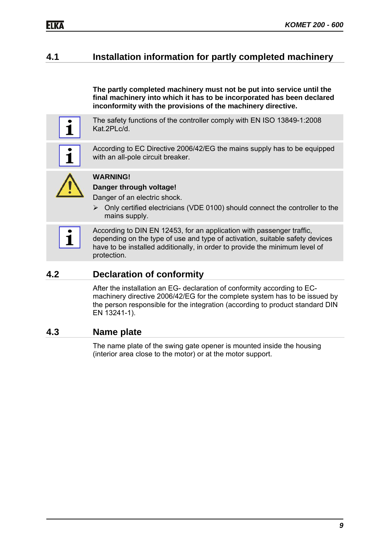### **4.1 Installation information for partly completed machinery**

**The partly completed machinery must not be put into service until the final machinery into which it has to be incorporated has been declared inconformity with the provisions of the machinery directive.**

The safety functions of the controller comply with EN ISO 13849-1:2008 Kat.2PLc/d.

According to EC Directive 2006/42/EG the mains supply has to be equipped with an all-pole circuit breaker.



1

1

#### **WARNING!**

#### **Danger through voltage!**

Danger of an electric shock.

 Only certified electricians (VDE 0100) should connect the controller to the mains supply.

According to DIN EN 12453, for an application with passenger traffic, depending on the type of use and type of activation, suitable safety devices have to be installed additionally, in order to provide the minimum level of protection.

#### **4.2 Declaration of conformity**

After the installation an EG- declaration of conformity according to ECmachinery directive 2006/42/EG for the complete system has to be issued by the person responsible for the integration (according to product standard DIN EN 13241-1).

#### **4.3 Name plate**

The name plate of the swing gate opener is mounted inside the housing (interior area close to the motor) or at the motor support.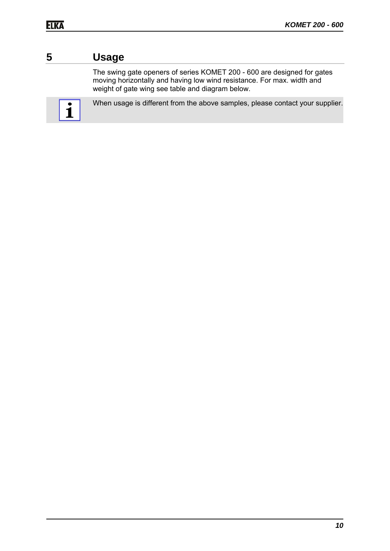# **5 Usage**

The swing gate openers of series KOMET 200 - 600 are designed for gates moving horizontally and having low wind resistance. For max. width and weight of gate wing see table and diagram below.



When usage is different from the above samples, please contact your supplier.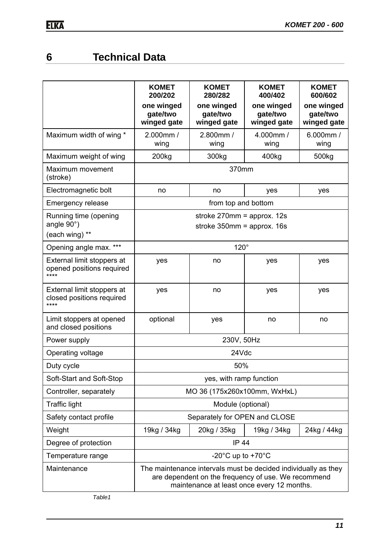# **6 Technical Data**

|                                                                 | <b>KOMET</b><br>200/202                                                                                                                                             | <b>KOMET</b><br>280/282                                        | <b>KOMET</b><br>400/402               | <b>KOMET</b><br>600/602               |
|-----------------------------------------------------------------|---------------------------------------------------------------------------------------------------------------------------------------------------------------------|----------------------------------------------------------------|---------------------------------------|---------------------------------------|
|                                                                 | one winged<br>gate/two<br>winged gate                                                                                                                               | one winged<br>gate/two<br>winged gate                          | one winged<br>gate/two<br>winged gate | one winged<br>gate/two<br>winged gate |
| Maximum width of wing *                                         | 2.000mm /<br>wing                                                                                                                                                   | 2.800mm /<br>wing                                              | 4.000mm /<br>wing                     | $6.000$ mm /<br>wing                  |
| Maximum weight of wing                                          | 200 <sub>kg</sub>                                                                                                                                                   | 300kg                                                          | 400kg                                 | 500kg                                 |
| Maximum movement<br>(stroke)                                    |                                                                                                                                                                     | 370mm                                                          |                                       |                                       |
| Electromagnetic bolt                                            | no                                                                                                                                                                  | no                                                             | yes                                   | yes                                   |
| <b>Emergency release</b>                                        |                                                                                                                                                                     | from top and bottom                                            |                                       |                                       |
| Running time (opening<br>angle $90^\circ$ )<br>(each wing) **   |                                                                                                                                                                     | stroke $270$ mm = approx. 12s<br>stroke $350$ mm = approx. 16s |                                       |                                       |
| Opening angle max. ***                                          |                                                                                                                                                                     | $120^\circ$                                                    |                                       |                                       |
| External limit stoppers at<br>opened positions required<br>**** | yes                                                                                                                                                                 | no                                                             | yes                                   | yes                                   |
| External limit stoppers at<br>closed positions required<br>**** | yes                                                                                                                                                                 | no                                                             | yes                                   | yes                                   |
| Limit stoppers at opened<br>and closed positions                | optional                                                                                                                                                            | yes                                                            | no                                    | no                                    |
| Power supply                                                    |                                                                                                                                                                     | 230V, 50Hz                                                     |                                       |                                       |
| Operating voltage                                               |                                                                                                                                                                     | 24Vdc                                                          |                                       |                                       |
| Duty cycle                                                      |                                                                                                                                                                     | 50%                                                            |                                       |                                       |
| Soft-Start and Soft-Stop                                        |                                                                                                                                                                     | yes, with ramp function                                        |                                       |                                       |
| Controller, separately                                          |                                                                                                                                                                     | MO 36 (175x260x100mm, WxHxL)                                   |                                       |                                       |
| <b>Traffic light</b>                                            |                                                                                                                                                                     | Module (optional)                                              |                                       |                                       |
| Safety contact profile                                          | Separately for OPEN and CLOSE                                                                                                                                       |                                                                |                                       |                                       |
| Weight                                                          | 19kg / 34kg<br>20kg / 35kg<br>19kg / 34kg                                                                                                                           |                                                                |                                       | 24kg / 44kg                           |
| Degree of protection                                            | <b>IP 44</b>                                                                                                                                                        |                                                                |                                       |                                       |
| Temperature range                                               |                                                                                                                                                                     | -20 $^{\circ}$ C up to +70 $^{\circ}$ C                        |                                       |                                       |
| Maintenance                                                     | The maintenance intervals must be decided individually as they<br>are dependent on the frequency of use. We recommend<br>maintenance at least once every 12 months. |                                                                |                                       |                                       |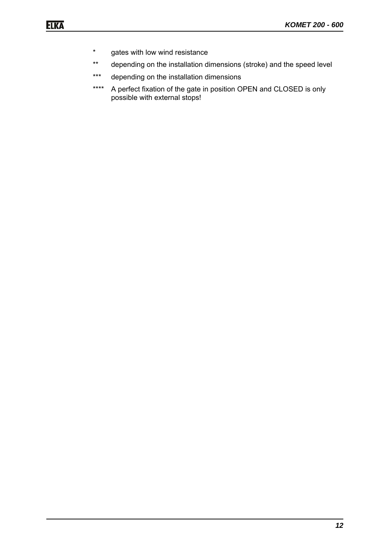- \* gates with low wind resistance
- \*\* depending on the installation dimensions (stroke) and the speed level
- \*\*\* depending on the installation dimensions
- \*\*\*\* A perfect fixation of the gate in position OPEN and CLOSED is only possible with external stops!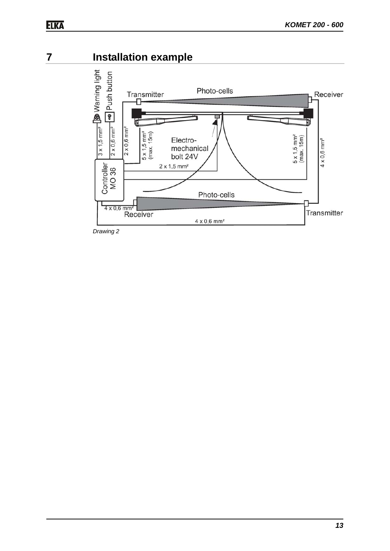# **7 Installation example**



*Drawing 2*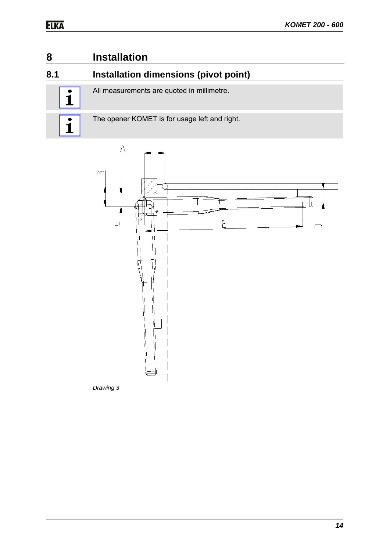# **8 Installation**

### **8.1 Installation dimensions (pivot point)**

All measurements are quoted in millimetre.



The opener KOMET is for usage left and right.



*Drawing 3*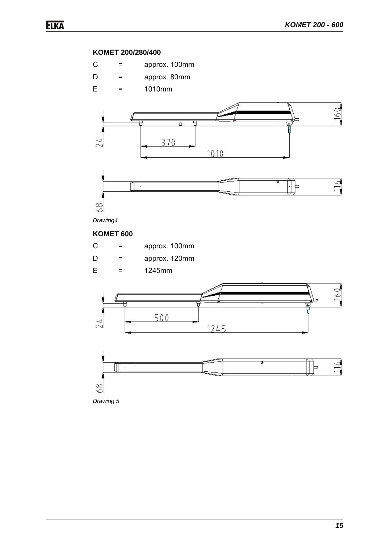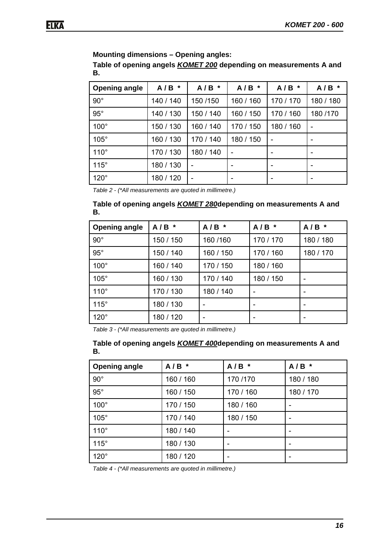#### **Mounting dimensions – Opening angles:**

**Table of opening angels** *KOMET 200* **depending on measurements A and B.**

| <b>Opening angle</b> | $A/B$ *   | A/B<br>$\ast$ | $A/B$ *   | A/B<br>$\star$ | $A/B$ *        |
|----------------------|-----------|---------------|-----------|----------------|----------------|
| $90^\circ$           | 140 / 140 | 150 / 150     | 160 / 160 | 170 / 170      | 180 / 180      |
| $95^\circ$           | 140 / 130 | 150 / 140     | 160 / 150 | 170 / 160      | 180/170        |
| $100^\circ$          | 150 / 130 | 160 / 140     | 170 / 150 | 180 / 160      | $\overline{a}$ |
| $105^\circ$          | 160 / 130 | 170 / 140     | 180 / 150 |                |                |
| $110^\circ$          | 170 / 130 | 180 / 140     | ۰         |                |                |
| $115^\circ$          | 180 / 130 |               |           |                |                |
| $120^\circ$          | 180 / 120 |               |           |                |                |

*Table 2 - (\*All measurements are quoted in millimetre.)* 

#### **Table of opening angels** *KOMET 280***depending on measurements A and B.**

| <b>Opening angle</b> | $A/B$ *   | $A/B$ *   | $A/B$ *   | $A/B$ *   |
|----------------------|-----------|-----------|-----------|-----------|
| $90^{\circ}$         | 150 / 150 | 160/160   | 170 / 170 | 180 / 180 |
| $95^\circ$           | 150 / 140 | 160 / 150 | 170 / 160 | 180 / 170 |
| $100^\circ$          | 160 / 140 | 170 / 150 | 180 / 160 |           |
| $105^\circ$          | 160 / 130 | 170 / 140 | 180 / 150 |           |
| $110^\circ$          | 170 / 130 | 180 / 140 |           |           |
| $115^\circ$          | 180 / 130 |           |           |           |
| $120^\circ$          | 180 / 120 |           |           |           |

*Table 3 - (\*All measurements are quoted in millimetre.)* 

#### **Table of opening angels** *KOMET 400***depending on measurements A and B.**

| <b>Opening angle</b> | $A/B$ *   | $A/B$ *   | $A/B$ *   |
|----------------------|-----------|-----------|-----------|
| $90^\circ$           | 160 / 160 | 170/170   | 180 / 180 |
| $95^\circ$           | 160 / 150 | 170 / 160 | 180 / 170 |
| $100^\circ$          | 170 / 150 | 180 / 160 |           |
| $105^\circ$          | 170 / 140 | 180 / 150 |           |
| $110^\circ$          | 180 / 140 | ۰         |           |
| $115^\circ$          | 180 / 130 | -         |           |
| $120^\circ$          | 180 / 120 | ۰         |           |

*Table 4 - (\*All measurements are quoted in millimetre.)*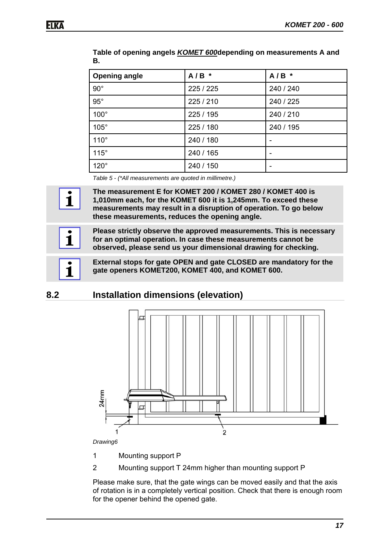1

| <b>Opening angle</b> | $A/B$ *   | $A/B$ *   |
|----------------------|-----------|-----------|
| $90^{\circ}$         | 225 / 225 | 240 / 240 |
| $95^\circ$           | 225 / 210 | 240 / 225 |
| $100^\circ$          | 225 / 195 | 240 / 210 |
| 105°                 | 225 / 180 | 240 / 195 |
| $110^\circ$          | 240 / 180 | -         |
| $115^\circ$          | 240 / 165 | ۰         |
| $120^\circ$          | 240 / 150 |           |

**Table of opening angels** *KOMET 600***depending on measurements A and B.**

*Table 5 - (\*All measurements are quoted in millimetre.)* 

**The measurement E for KOMET 200 / KOMET 280 / KOMET 400 is 1,010mm each, for the KOMET 600 it is 1,245mm. To exceed these measurements may result in a disruption of operation. To go below these measurements, reduces the opening angle.**

**Please strictly observe the approved measurements. This is necessary for an optimal operation. In case these measurements cannot be observed, please send us your dimensional drawing for checking.**

**External stops for gate OPEN and gate CLOSED are mandatory for the gate openers KOMET200, KOMET 400, and KOMET 600.**

**8.2 Installation dimensions (elevation)** 



*Drawing6* 

1 Mounting support P

2 Mounting support T 24mm higher than mounting support P

Please make sure, that the gate wings can be moved easily and that the axis of rotation is in a completely vertical position. Check that there is enough room for the opener behind the opened gate.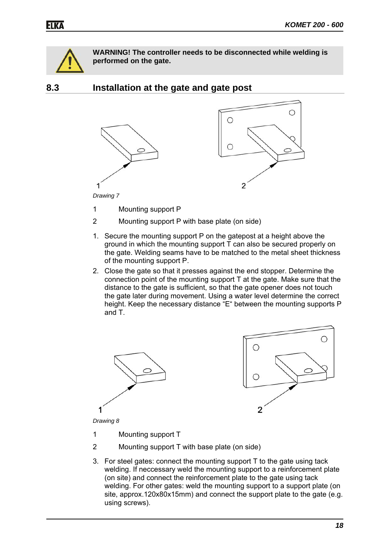

**WARNING! The controller needs to be disconnected while welding is performed on the gate.**

**8.3 Installation at the gate and gate post** 



1 Mounting support P

- 2 Mounting support P with base plate (on side)
- 1. Secure the mounting support P on the gatepost at a height above the ground in which the mounting support T can also be secured properly on the gate. Welding seams have to be matched to the metal sheet thickness of the mounting support P.
- 2. Close the gate so that it presses against the end stopper. Determine the connection point of the mounting support T at the gate. Make sure that the distance to the gate is sufficient, so that the gate opener does not touch the gate later during movement. Using a water level determine the correct height. Keep the necessary distance "E" between the mounting supports P and T.





*Drawing 8* 

- 1 Mounting support T
- 2 Mounting support T with base plate (on side)
- 3. For steel gates: connect the mounting support T to the gate using tack welding. If neccessary weld the mounting support to a reinforcement plate (on site) and connect the reinforcement plate to the gate using tack welding. For other gates: weld the mounting support to a support plate (on site, approx.120x80x15mm) and connect the support plate to the gate (e.g. using screws).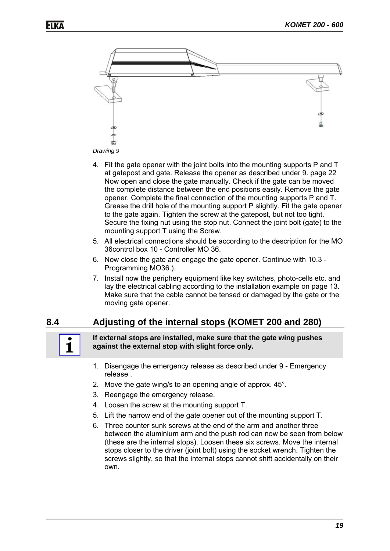



- 4. Fit the gate opener with the joint bolts into the mounting supports P and T at gatepost and gate. Release the opener as described under 9. page 22 Now open and close the gate manually. Check if the gate can be moved the complete distance between the end positions easily. Remove the gate opener. Complete the final connection of the mounting supports P and T. Grease the drill hole of the mounting support P slightly. Fit the gate opener to the gate again. Tighten the screw at the gatepost, but not too tight. Secure the fixing nut using the stop nut. Connect the joint bolt (gate) to the mounting support T using the Screw.
- 5. All electrical connections should be according to the description for the MO 36control box 10 - Controller MO 36.
- 6. Now close the gate and engage the gate opener. Continue with 10.3 Programming MO36.).
- 7. Install now the periphery equipment like key switches, photo-cells etc. and lay the electrical cabling according to the installation example on page 13. Make sure that the cable cannot be tensed or damaged by the gate or the moving gate opener.

### **8.4 Adjusting of the internal stops (KOMET 200 and 280)**



#### **If external stops are installed, make sure that the gate wing pushes against the external stop with slight force only.**

- 1. Disengage the emergency release as described under 9 Emergency release .
- 2. Move the gate wing/s to an opening angle of approx. 45°.
- 3. Reengage the emergency release.
- 4. Loosen the screw at the mounting support T.
- 5. Lift the narrow end of the gate opener out of the mounting support T.
- 6. Three counter sunk screws at the end of the arm and another three between the aluminium arm and the push rod can now be seen from below (these are the internal stops). Loosen these six screws. Move the internal stops closer to the driver (joint bolt) using the socket wrench. Tighten the screws slightly, so that the internal stops cannot shift accidentally on their own.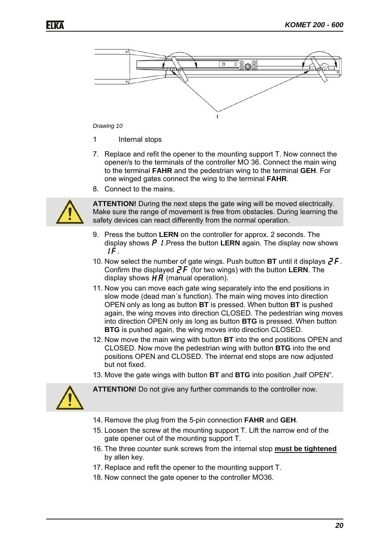

#### *Drawing 10*

- 1 Internal stops
- 7. Replace and refit the opener to the mounting support T. Now connect the opener/s to the terminals of the controller MO 36. Connect the main wing to the terminal **FAHR** and the pedestrian wing to the terminal **GEH**. For one winged gates connect the wing to the terminal **FAHR**.
- 8. Connect to the mains.



**ATTENTION!** During the next steps the gate wing will be moved electrically. Make sure the range of movement is free from obstacles. During learning the safety devices can react differently from the normal operation.

- 9. Press the button **LERN** on the controller for approx. 2 seconds. The display shows  $\boldsymbol{P}$  *!* Press the button **LERN** again. The display now shows 1f.
- 10. Now select the number of gate wings. Push button **BT** until it displays  $2F$ . Confirm the displayed  $2F$  (for two wings) with the button **LERN**. The display shows  $\overline{H} \overline{H}$  (manual operation).
- 11. Now you can move each gate wing separately into the end positions in slow mode (dead man´s function). The main wing moves into direction OPEN only as long as button **BT** is pressed. When button **BT** is pushed again, the wing moves into direction CLOSED. The pedestrian wing moves into direction OPEN only as long as button **BTG** is pressed. When button **BTG** is pushed again, the wing moves into direction CLOSED.
- 12. Now move the main wing with button **BT** into the end postitions OPEN and CLOSED. Now move the pedestrian wing with button **BTG** into the end positions OPEN and CLOSED. The internal end stops are now adjusted but not fixed.
- 13. Move the gate wings with button **BT** and **BTG** into position "half OPEN".



**ATTENTION!** Do not give any further commands to the controller now.

- 14. Remove the plug from the 5-pin connection **FAHR** and **GEH**.
- 15. Loosen the screw at the mounting support T. Lift the narrow end of the gate opener out of the mounting support T.
- 16. The three counter sunk screws from the internal stop **must be tightened** by allen key.
- 17. Replace and refit the opener to the mounting support T.
- 18. Now connect the gate opener to the controller MO36.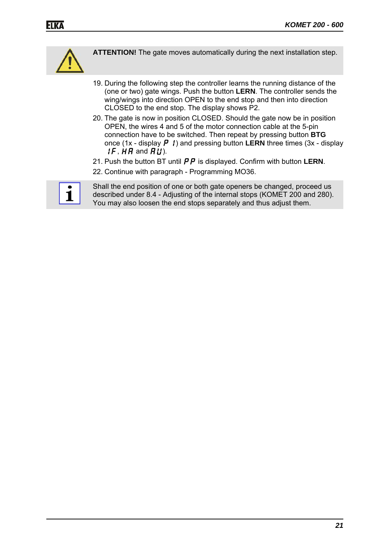

**ATTENTION!** The gate moves automatically during the next installation step.

- 19. During the following step the controller learns the running distance of the (one or two) gate wings. Push the button **LERN**. The controller sends the wing/wings into direction OPEN to the end stop and then into direction CLOSED to the end stop. The display shows P2.
- 20. The gate is now in position CLOSED. Should the gate now be in position OPEN, the wires 4 and 5 of the motor connection cable at the 5-pin connection have to be switched. Then repeat by pressing button **BTG** once (1x - display  $\boldsymbol{P}$  *l*) and pressing button **LERN** three times (3x - display  $IF, HH$  and  $HU$ ).
- 21. Push the button BT until  $\overline{PP}$  is displayed. Confirm with button LERN.
- 22. Continue with paragraph Programming MO36.



Shall the end position of one or both gate openers be changed, proceed us described under 8.4 - Adjusting of the internal stops (KOMET 200 and 280). You may also loosen the end stops separately and thus adjust them.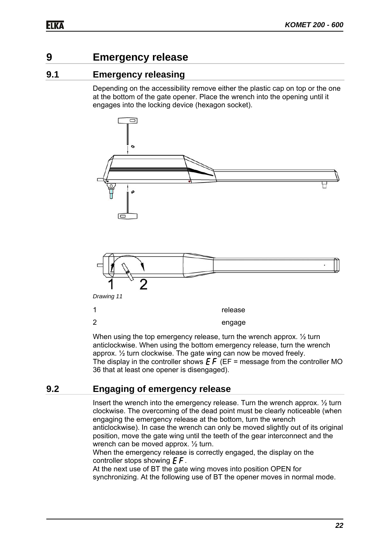# **9 Emergency release**

### **9.1 Emergency releasing**

Depending on the accessibility remove either the plastic cap on top or the one at the bottom of the gate opener. Place the wrench into the opening until it engages into the locking device (hexagon socket).



When using the top emergency release, turn the wrench approx.  $\frac{1}{2}$  turn anticlockwise. When using the bottom emergency release, turn the wrench approx. ½ turn clockwise. The gate wing can now be moved freely. The display in the controller shows  $\boldsymbol{E} \boldsymbol{F}$  (EF = message from the controller MO 36 that at least one opener is disengaged).

### **9.2 Engaging of emergency release**

Insert the wrench into the emergency release. Turn the wrench approx. ½ turn clockwise. The overcoming of the dead point must be clearly noticeable (when engaging the emergency release at the bottom, turn the wrench anticlockwise). In case the wrench can only be moved slightly out of its original position, move the gate wing until the teeth of the gear interconnect and the wrench can be moved approx. ½ turn.

When the emergency release is correctly engaged, the display on the controller stops showing  $E\ddot{F}$ .

At the next use of BT the gate wing moves into position OPEN for synchronizing. At the following use of BT the opener moves in normal mode.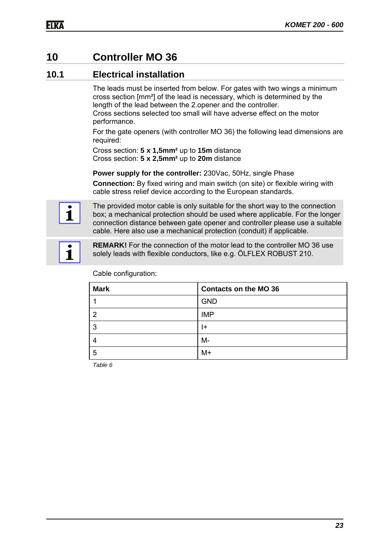# **10 Controller MO 36**

### **10.1 Electrical installation**

The leads must be inserted from below. For gates with two wings a minimum cross section [mm²] of the lead is necessary, which is determined by the length of the lead between the 2.opener and the controller. Cross sections selected too small will have adverse effect on the motor performance.

For the gate openers (with controller MO 36) the following lead dimensions are required:

Cross section: **5 x 1,5mm²** up to **15m** distance Cross section: **5 x 2,5mm²** up to **20m** distance

**Power supply for the controller:** 230Vac, 50Hz, single Phase

**Connection:** By fixed wiring and main switch (on site) or flexible wiring with cable stress relief device according to the European standards.



The provided motor cable is only suitable for the short way to the connection box; a mechanical protection should be used where applicable. For the longer connection distance between gate opener and controller please use a suitable cable. Here also use a mechanical protection (conduit) if applicable.



**REMARK!** For the connection of the motor lead to the controller MO 36 use solely leads with flexible conductors, like e.g. ÖLFLEX ROBUST 210.

| <b>Mark</b> | <b>Contacts on the MO 36</b> |
|-------------|------------------------------|
|             | <b>GND</b>                   |
| 2           | <b>IMP</b>                   |
| -3          | I+                           |
| 4           | $M -$                        |
| -5          | $M+$                         |

Cable configuration:

*Table 6*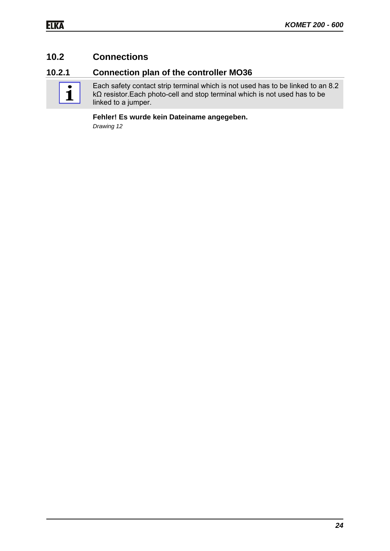### **10.2 Connections**

### **10.2.1 Connection plan of the controller MO36**



Each safety contact strip terminal which is not used has to be linked to an 8.2 kΩ resistor.Each photo-cell and stop terminal which is not used has to be linked to a jumper.

#### **Fehler! Es wurde kein Dateiname angegeben.**

*Drawing 12*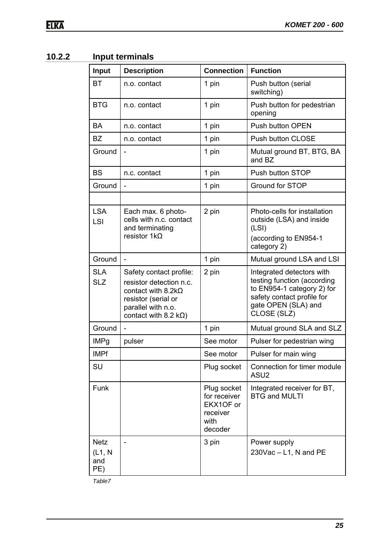# **10.2.2 Input terminals**

| Input                                | <b>Description</b>                                                                                                                                           | <b>Connection</b>                                                       | <b>Function</b>                                                                                                                                            |
|--------------------------------------|--------------------------------------------------------------------------------------------------------------------------------------------------------------|-------------------------------------------------------------------------|------------------------------------------------------------------------------------------------------------------------------------------------------------|
| <b>BT</b>                            | n.o. contact                                                                                                                                                 | 1 pin                                                                   | Push button (serial<br>switching)                                                                                                                          |
| <b>BTG</b>                           | n.o. contact                                                                                                                                                 | 1 pin                                                                   | Push button for pedestrian<br>opening                                                                                                                      |
| <b>BA</b>                            | n.o. contact                                                                                                                                                 | 1 pin                                                                   | Push button OPEN                                                                                                                                           |
| <b>BZ</b>                            | n.o. contact                                                                                                                                                 | 1 pin                                                                   | Push button CLOSE                                                                                                                                          |
| Ground                               |                                                                                                                                                              | 1 pin                                                                   | Mutual ground BT, BTG, BA<br>and BZ                                                                                                                        |
| <b>BS</b>                            | n.c. contact                                                                                                                                                 | 1 pin                                                                   | Push button STOP                                                                                                                                           |
| Ground                               | $\overline{\phantom{a}}$                                                                                                                                     | 1 pin                                                                   | Ground for STOP                                                                                                                                            |
|                                      |                                                                                                                                                              |                                                                         |                                                                                                                                                            |
| <b>LSA</b><br>LSI                    | Each max. 6 photo-<br>cells with n.c. contact<br>and terminating<br>resistor $1k\Omega$                                                                      | 2 pin                                                                   | Photo-cells for installation<br>outside (LSA) and inside<br>(LSI)<br>(according to EN954-1<br>category 2)                                                  |
| Ground                               | $\blacksquare$                                                                                                                                               | 1 pin                                                                   | Mutual ground LSA and LSI                                                                                                                                  |
| <b>SLA</b><br><b>SLZ</b>             | Safety contact profile:<br>resistor detection n.c.<br>contact with $8.2k\Omega$<br>resistor (serial or<br>parallel with n.o.<br>contact with 8.2 $k\Omega$ ) | 2 pin                                                                   | Integrated detectors with<br>testing function (according<br>to EN954-1 category 2) for<br>safety contact profile for<br>gate OPEN (SLA) and<br>CLOSE (SLZ) |
| Ground                               |                                                                                                                                                              | 1 pin                                                                   | Mutual ground SLA and SLZ                                                                                                                                  |
| <b>IMPg</b>                          | pulser                                                                                                                                                       | See motor                                                               | Pulser for pedestrian wing                                                                                                                                 |
| <b>IMPf</b>                          |                                                                                                                                                              | See motor                                                               | Pulser for main wing                                                                                                                                       |
| SU                                   |                                                                                                                                                              | Plug socket                                                             | Connection for timer module<br>ASU <sub>2</sub>                                                                                                            |
| Funk                                 |                                                                                                                                                              | Plug socket<br>for receiver<br>EKX1OF or<br>receiver<br>with<br>decoder | Integrated receiver for BT,<br><b>BTG and MULTI</b>                                                                                                        |
| <b>Netz</b><br>(L1, N)<br>and<br>PE) |                                                                                                                                                              | 3 pin                                                                   | Power supply<br>$230\sqrt{ac} - L1$ , N and PE                                                                                                             |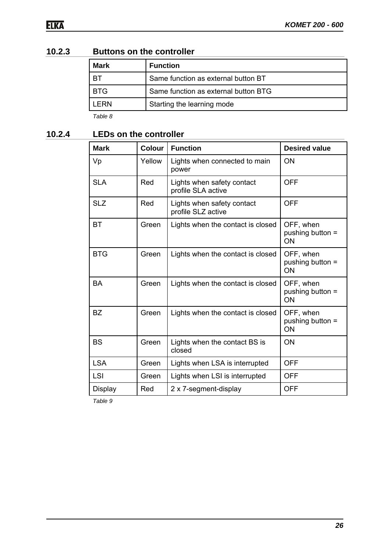| 10.2.3 | <b>Buttons on the controller</b> |  |
|--------|----------------------------------|--|
|--------|----------------------------------|--|

| <b>Mark</b>   | <b>Function</b>                      |
|---------------|--------------------------------------|
| BT            | Same function as external button BT  |
| <b>BTG</b>    | Same function as external button BTG |
| I FRN         | Starting the learning mode           |
| $T0$ $\sim$ 0 |                                      |

*Table 8* 

### **10.2.4 LEDs on the controller**

| <b>Mark</b>    | <b>Colour</b> | <b>Function</b>                                  | <b>Desired value</b>                |
|----------------|---------------|--------------------------------------------------|-------------------------------------|
| Vp             | Yellow        | Lights when connected to main<br>power           | ΟN                                  |
| <b>SLA</b>     | Red           | Lights when safety contact<br>profile SLA active | <b>OFF</b>                          |
| <b>SLZ</b>     | Red           | Lights when safety contact<br>profile SLZ active | <b>OFF</b>                          |
| BT             | Green         | Lights when the contact is closed                | OFF, when<br>pushing button =<br>ON |
| <b>BTG</b>     | Green         | Lights when the contact is closed                | OFF, when<br>pushing button =<br>ON |
| <b>BA</b>      | Green         | Lights when the contact is closed                | OFF, when<br>pushing button =<br>ON |
| <b>BZ</b>      | Green         | Lights when the contact is closed                | OFF, when<br>pushing button =<br>ON |
| <b>BS</b>      | Green         | Lights when the contact BS is<br>closed          | ON                                  |
| <b>LSA</b>     | Green         | Lights when LSA is interrupted                   | <b>OFF</b>                          |
| <b>LSI</b>     | Green         | Lights when LSI is interrupted                   | <b>OFF</b>                          |
| <b>Display</b> | Red           | 2 x 7-segment-display                            | <b>OFF</b>                          |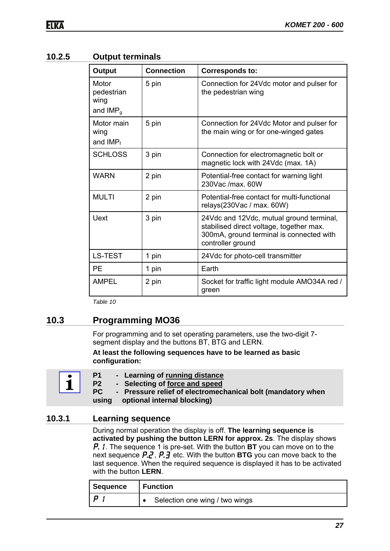#### **10.2.5 Output terminals**

| Output                                    | <b>Connection</b> | <b>Corresponds to:</b>                                                                                                                                |
|-------------------------------------------|-------------------|-------------------------------------------------------------------------------------------------------------------------------------------------------|
| Motor<br>pedestrian<br>wing<br>and $IMPq$ | 5 pin             | Connection for 24Vdc motor and pulser for<br>the pedestrian wing                                                                                      |
| Motor main<br>wing<br>and $IMP_f$         | 5 pin             | Connection for 24Vdc Motor and pulser for<br>the main wing or for one-winged gates                                                                    |
| <b>SCHLOSS</b>                            | 3 pin             | Connection for electromagnetic bolt or<br>magnetic lock with 24Vdc (max. 1A)                                                                          |
| <b>WARN</b>                               | 2 pin             | Potential-free contact for warning light<br>230Vac /max. 60W                                                                                          |
| <b>MULTI</b>                              | 2 pin             | Potential-free contact for multi-functional<br>relays(230Vac / max. 60W)                                                                              |
| <b>Uext</b>                               | 3 pin             | 24Vdc and 12Vdc, mutual ground terminal,<br>stabilised direct voltage, together max.<br>300mA, ground terminal is connected with<br>controller ground |
| <b>LS-TEST</b>                            | 1 pin             | 24Vdc for photo-cell transmitter                                                                                                                      |
| <b>PE</b>                                 | 1 pin             | Earth                                                                                                                                                 |
| <b>AMPEL</b>                              | 2 pin             | Socket for traffic light module AMO34A red /<br>green                                                                                                 |

*Table 10* 

### **10.3 Programming MO36**

For programming and to set operating parameters, use the two-digit 7 segment display and the buttons BT, BTG and LERN.

#### **At least the following sequences have to be learned as basic configuration:**

| - Learning of running distance<br>P <sub>1</sub><br>P <sub>2</sub><br>- Selecting of force and speed       |
|------------------------------------------------------------------------------------------------------------|
| PC.<br>- Pressure relief of electromechanical bolt (mandatory when<br>optional internal blocking)<br>usina |

#### **10.3.1 Learning sequence**

During normal operation the display is off. **The learning sequence is activated by pushing the button LERN for approx. 2s**. The display shows **P.** I. The sequence 1 is pre-set. With the button **BT** you can move on to the next sequence P.2, P.3 etc. With the button **BTG** you can move back to the last sequence. When the required sequence is displayed it has to be activated with the button **LERN**.

| Sequence | <b>Function</b>                |
|----------|--------------------------------|
| o        | Selection one wing / two wings |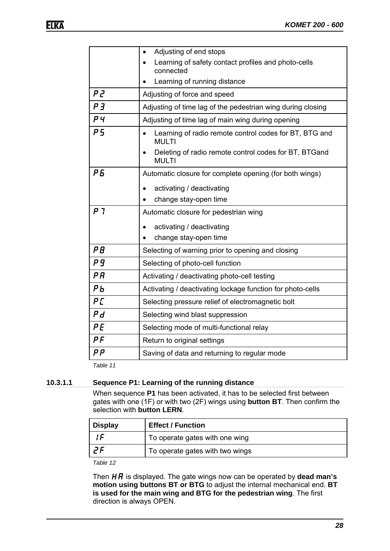|                                          | Adjusting of end stops                                                 |
|------------------------------------------|------------------------------------------------------------------------|
|                                          | Learning of safety contact profiles and photo-cells<br>connected       |
|                                          | Learning of running distance                                           |
| P 2                                      | Adjusting of force and speed                                           |
| P <sub>3</sub>                           | Adjusting of time lag of the pedestrian wing during closing            |
| P <sub>4</sub>                           | Adjusting of time lag of main wing during opening                      |
| P 5                                      | Learning of radio remote control codes for BT, BTG and<br><b>MULTI</b> |
|                                          | Deleting of radio remote control codes for BT, BTGand<br><b>MULTI</b>  |
| P 5                                      | Automatic closure for complete opening (for both wings)                |
|                                          | activating / deactivating<br>$\bullet$                                 |
|                                          | change stay-open time                                                  |
| ך ק                                      | Automatic closure for pedestrian wing                                  |
|                                          | activating / deactivating                                              |
|                                          | change stay-open time                                                  |
| P B                                      | Selecting of warning prior to opening and closing                      |
| P 9                                      | Selecting of photo-cell function                                       |
| ΡR                                       | Activating / deactivating photo-cell testing                           |
| PЬ                                       | Activating / deactivating lockage function for photo-cells             |
| P[                                       | Selecting pressure relief of electromagnetic bolt                      |
| Ρd                                       | Selecting wind blast suppression                                       |
| PE                                       | Selecting mode of multi-functional relay                               |
| $P$ $F$                                  | Return to original settings                                            |
| $\boldsymbol{\rho} \, \boldsymbol{\rho}$ | Saving of data and returning to regular mode                           |

*Table 11* 

#### **10.3.1.1 Sequence P1: Learning of the running distance**

When sequence **P1** has been activated, it has to be selected first between gates with one (1F) or with two (2F) wings using **button BT**. Then confirm the selection with **button LERN**.

| <b>Display</b> | <b>Effect / Function</b>        |
|----------------|---------------------------------|
|                | To operate gates with one wing  |
|                | To operate gates with two wings |

*Table 12* 

Then  $H\ddot{H}$  is displayed. The gate wings now can be operated by **dead man's motion using buttons BT or BTG** to adjust the internal mechanical end. **BT is used for the main wing and BTG for the pedestrian wing**. The first direction is always OPEN.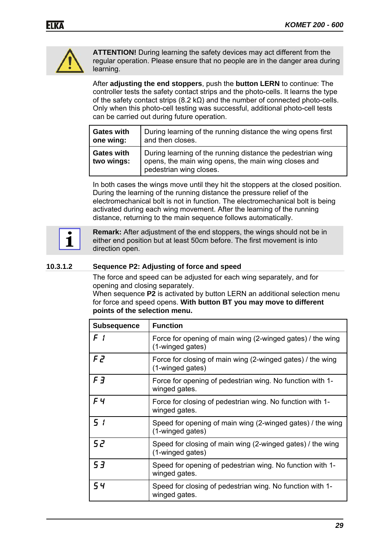

**ATTENTION!** During learning the safety devices may act different from the regular operation. Please ensure that no people are in the danger area during learning.

After **adjusting the end stoppers**, push the **button LERN** to continue: The controller tests the safety contact strips and the photo-cells. It learns the type of the safety contact strips (8.2 kΩ) and the number of connected photo-cells. Only when this photo-cell testing was successful, additional photo-cell tests can be carried out during future operation.

| <b>Gates with</b>               | During learning of the running distance the wing opens first                                                                                   |
|---------------------------------|------------------------------------------------------------------------------------------------------------------------------------------------|
| one wing:                       | and then closes.                                                                                                                               |
| <b>Gates with</b><br>two wings: | During learning of the running distance the pedestrian wing<br>opens, the main wing opens, the main wing closes and<br>pedestrian wing closes. |

In both cases the wings move until they hit the stoppers at the closed position. During the learning of the running distance the pressure relief of the electromechanical bolt is not in function. The electromechanical bolt is being activated during each wing movement. After the learning of the running distance, returning to the main sequence follows automatically.



**Remark:** After adjustment of the end stoppers, the wings should not be in either end position but at least 50cm before. The first movement is into direction open.

#### **10.3.1.2 Sequence P2: Adjusting of force and speed**

The force and speed can be adjusted for each wing separately, and for opening and closing separately.

When sequence **P2** is activated by button LERN an additional selection menu for force and speed opens. **With button BT you may move to different points of the selection menu.**

| <b>Subsequence</b> | <b>Function</b>                                                                |
|--------------------|--------------------------------------------------------------------------------|
| $F \,$ (           | Force for opening of main wing (2-winged gates) / the wing<br>(1-winged gates) |
| F 2                | Force for closing of main wing (2-winged gates) / the wing<br>(1-winged gates) |
| $F \overline{3}$   | Force for opening of pedestrian wing. No function with 1-<br>winged gates.     |
| F4                 | Force for closing of pedestrian wing. No function with 1-<br>winged gates.     |
| 5 <sub>i</sub>     | Speed for opening of main wing (2-winged gates) / the wing<br>(1-winged gates) |
| 52                 | Speed for closing of main wing (2-winged gates) / the wing<br>(1-winged gates) |
| 53                 | Speed for opening of pedestrian wing. No function with 1-<br>winged gates.     |
| 54                 | Speed for closing of pedestrian wing. No function with 1-<br>winged gates.     |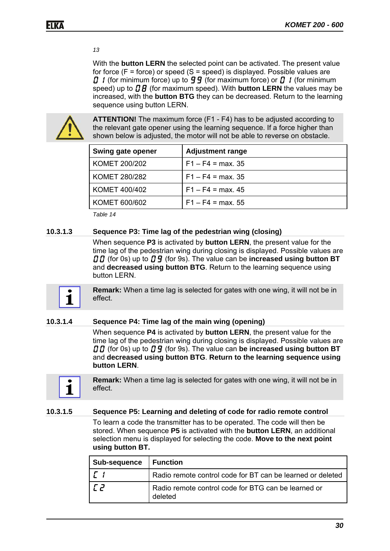#### *13*

With the **button LERN** the selected point can be activated. The present value for force ( $F =$  force) or speed ( $S =$  speed) is displayed. Possible values are **0** 1 (for minimum force) up to **99** (for maximum force) or **0** 1 (for minimum speed) up to  $\boldsymbol{B}$  (for maximum speed). With **button LERN** the values may be increased, with the **button BTG** they can be decreased. Return to the learning sequence using button LERN.



**ATTENTION!** The maximum force (F1 - F4) has to be adjusted according to the relevant gate opener using the learning sequence. If a force higher than shown below is adjusted, the motor will not be able to reverse on obstacle.

| <b>Swing gate opener</b> | <b>Adjustment range</b> |
|--------------------------|-------------------------|
| <b>KOMET 200/202</b>     | $F1 - F4 = max. 35$     |
| <b>KOMET 280/282</b>     | $F1 - F4 = max$ 35      |
| <b>KOMET 400/402</b>     | $F1 - F4 = max. 45$     |
| KOMET 600/602            | $F1 - F4 = max. 55$     |

*Table 14* 

#### **10.3.1.3 Sequence P3: Time lag of the pedestrian wing (closing)**

When sequence **P3** is activated by **button LERN**, the present value for the time lag of the pedestrian wing during closing is displayed. Possible values are **00** (for 0s) up to **0 9** (for 9s). The value can be **increased using button BT** and **decreased using button BTG**. Return to the learning sequence using button LERN.



**Remark:** When a time lag is selected for gates with one wing, it will not be in effect.

#### **10.3.1.4 Sequence P4: Time lag of the main wing (opening)**

When sequence **P4** is activated by **button LERN**, the present value for the time lag of the pedestrian wing during closing is displayed. Possible values are **00** (for 0s) up to **0 9** (for 9s). The value can be increased using button BT and **decreased using button BTG**. **Return to the learning sequence using button LERN**.



**Remark:** When a time lag is selected for gates with one wing, it will not be in effect.

#### **10.3.1.5 Sequence P5: Learning and deleting of code for radio remote control**

To learn a code the transmitter has to be operated. The code will then be stored. When sequence **P5** is activated with the **button LERN**, an additional selection menu is displayed for selecting the code. **Move to the next point using button BT.**

| Sub-sequence | <b>Function</b>                                                |
|--------------|----------------------------------------------------------------|
|              | Radio remote control code for BT can be learned or deleted     |
|              | Radio remote control code for BTG can be learned or<br>deleted |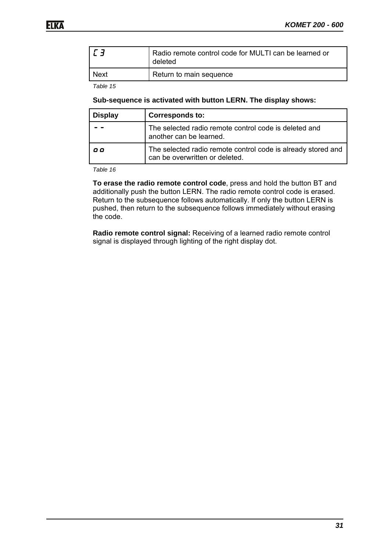| l <i>L 3</i> | Radio remote control code for MULTI can be learned or<br>deleted |
|--------------|------------------------------------------------------------------|
| <b>Next</b>  | Return to main sequence                                          |

*Table 15* 

#### **Sub-sequence is activated with button LERN. The display shows:**

| <b>Display</b> | <b>Corresponds to:</b>                                                                         |
|----------------|------------------------------------------------------------------------------------------------|
|                | The selected radio remote control code is deleted and<br>another can be learned.               |
| o o            | The selected radio remote control code is already stored and<br>can be overwritten or deleted. |

*Table 16* 

**To erase the radio remote control code**, press and hold the button BT and additionally push the button LERN. The radio remote control code is erased. Return to the subsequence follows automatically. If only the button LERN is pushed, then return to the subsequence follows immediately without erasing the code.

**Radio remote control signal:** Receiving of a learned radio remote control signal is displayed through lighting of the right display dot.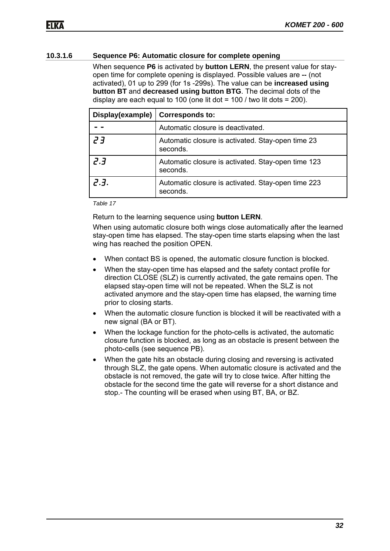#### **10.3.1.6 Sequence P6: Automatic closure for complete opening**

When sequence **P6** is activated by **button LERN**, the present value for stayopen time for complete opening is displayed. Possible values are **--** (not activated), 01 up to 299 (for 1s -299s). The value can be **increased using button BT** and **decreased using button BTG**. The decimal dots of the display are each equal to 100 (one lit dot =  $100$  / two lit dots = 200).

| Display(example) | <b>Corresponds to:</b>                                         |
|------------------|----------------------------------------------------------------|
|                  | Automatic closure is deactivated.                              |
| ך ק              | Automatic closure is activated. Stay-open time 23<br>seconds.  |
| 2.3              | Automatic closure is activated. Stay-open time 123<br>seconds. |
| 7.3.             | Automatic closure is activated. Stay-open time 223<br>seconds. |

*Table 17* 

Return to the learning sequence using **button LERN**.

When using automatic closure both wings close automatically after the learned stay-open time has elapsed. The stay-open time starts elapsing when the last wing has reached the position OPEN.

- When contact BS is opened, the automatic closure function is blocked.
- When the stay-open time has elapsed and the safety contact profile for direction CLOSE (SLZ) is currently activated, the gate remains open. The elapsed stay-open time will not be repeated. When the SLZ is not activated anymore and the stay-open time has elapsed, the warning time prior to closing starts.
- When the automatic closure function is blocked it will be reactivated with a new signal (BA or BT).
- When the lockage function for the photo-cells is activated, the automatic closure function is blocked, as long as an obstacle is present between the photo-cells (see sequence PB).
- When the gate hits an obstacle during closing and reversing is activated through SLZ, the gate opens. When automatic closure is activated and the obstacle is not removed, the gate will try to close twice. After hitting the obstacle for the second time the gate will reverse for a short distance and stop.- The counting will be erased when using BT, BA, or BZ.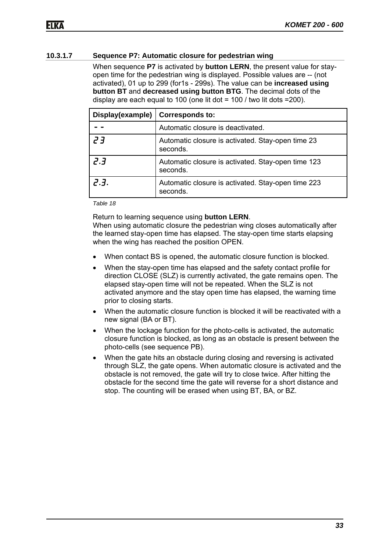#### **10.3.1.7 Sequence P7: Automatic closure for pedestrian wing**

When sequence **P7** is activated by **button LERN**, the present value for stayopen time for the pedestrian wing is displayed. Possible values are -- (not activated), 01 up to 299 (for1s - 299s). The value can be **increased using button BT** and **decreased using button BTG**. The decimal dots of the display are each equal to 100 (one lit dot =  $100$  / two lit dots = 200).

| Display(example) | <b>Corresponds to:</b>                                         |
|------------------|----------------------------------------------------------------|
|                  | Automatic closure is deactivated.                              |
| ך ק              | Automatic closure is activated. Stay-open time 23<br>seconds.  |
| 2.3              | Automatic closure is activated. Stay-open time 123<br>seconds. |
| 2.3.             | Automatic closure is activated. Stay-open time 223<br>seconds. |

*Table 18* 

Return to learning sequence using **button LERN**.

When using automatic closure the pedestrian wing closes automatically after the learned stay-open time has elapsed. The stay-open time starts elapsing when the wing has reached the position OPEN.

- When contact BS is opened, the automatic closure function is blocked.
- When the stay-open time has elapsed and the safety contact profile for direction CLOSE (SLZ) is currently activated, the gate remains open. The elapsed stay-open time will not be repeated. When the SLZ is not activated anymore and the stay open time has elapsed, the warning time prior to closing starts.
- When the automatic closure function is blocked it will be reactivated with a new signal (BA or BT).
- When the lockage function for the photo-cells is activated, the automatic closure function is blocked, as long as an obstacle is present between the photo-cells (see sequence PB).
- When the gate hits an obstacle during closing and reversing is activated through SLZ, the gate opens. When automatic closure is activated and the obstacle is not removed, the gate will try to close twice. After hitting the obstacle for the second time the gate will reverse for a short distance and stop. The counting will be erased when using BT, BA, or BZ.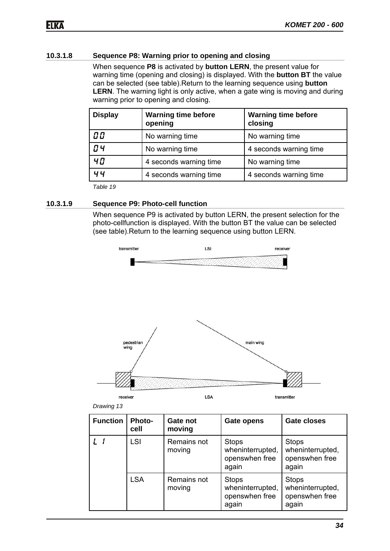#### **10.3.1.8 Sequence P8: Warning prior to opening and closing**

When sequence **P8** is activated by **button LERN**, the present value for warning time (opening and closing) is displayed. With the **button BT** the value can be selected (see table).Return to the learning sequence using **button LERN**. The warning light is only active, when a gate wing is moving and during warning prior to opening and closing.

| <b>Display</b> | <b>Warning time before</b><br>opening | <b>Warning time before</b><br>closing |
|----------------|---------------------------------------|---------------------------------------|
| 00             | No warning time                       | No warning time                       |
| <b>O4</b>      | No warning time                       | 4 seconds warning time                |
| 40             | 4 seconds warning time                | No warning time                       |
| ម ម            | 4 seconds warning time                | 4 seconds warning time                |

*Table 19* 

#### **10.3.1.9 Sequence P9: Photo-cell function**

When sequence P9 is activated by button LERN, the present selection for the photo-cellfunction is displayed. With the button BT the value can be selected (see table).Return to the learning sequence using button LERN.



| Drawing 13 |  |
|------------|--|
|            |  |

| <b>Function</b> | <b>Photo-</b><br>cell | Gate not<br>moving    | <b>Gate opens</b>                                           | <b>Gate closes</b>                                          |
|-----------------|-----------------------|-----------------------|-------------------------------------------------------------|-------------------------------------------------------------|
|                 | <b>LSI</b>            | Remains not<br>moving | <b>Stops</b><br>wheninterrupted,<br>openswhen free<br>again | <b>Stops</b><br>wheninterrupted,<br>openswhen free<br>again |
|                 | <b>LSA</b>            | Remains not<br>moving | <b>Stops</b><br>wheninterrupted,<br>openswhen free<br>again | <b>Stops</b><br>wheninterrupted,<br>openswhen free<br>again |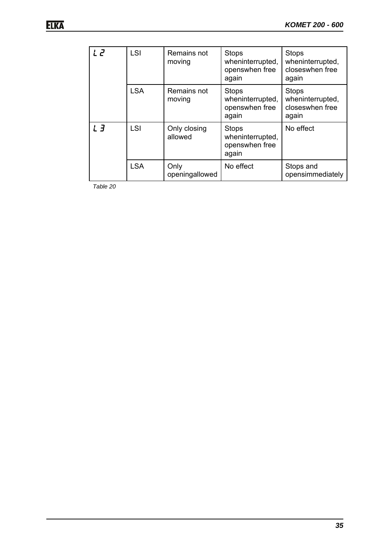| ק ו | <b>LSI</b> | Remains not<br>moving   | <b>Stops</b><br>wheninterrupted,<br>openswhen free<br>again | <b>Stops</b><br>wheninterrupted,<br>closeswhen free<br>again |
|-----|------------|-------------------------|-------------------------------------------------------------|--------------------------------------------------------------|
|     | <b>LSA</b> | Remains not<br>moving   | <b>Stops</b><br>wheninterrupted,<br>openswhen free<br>again | <b>Stops</b><br>wheninterrupted,<br>closeswhen free<br>again |
| LЗ  | <b>LSI</b> | Only closing<br>allowed | <b>Stops</b><br>wheninterrupted,<br>openswhen free<br>again | No effect                                                    |
|     | <b>LSA</b> | Only<br>openingallowed  | No effect                                                   | Stops and<br>opensimmediately                                |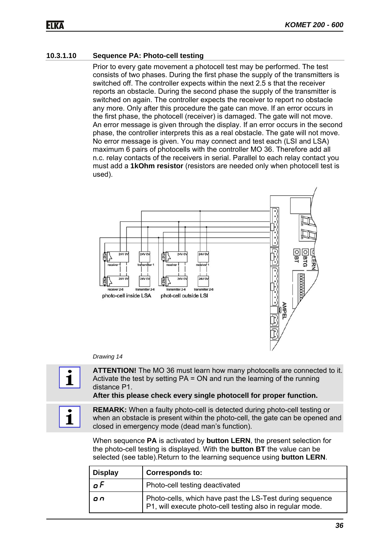#### **10.3.1.10 Sequence PA: Photo-cell testing**

Prior to every gate movement a photocell test may be performed. The test consists of two phases. During the first phase the supply of the transmitters is switched off. The controller expects within the next 2.5 s that the receiver reports an obstacle. During the second phase the supply of the transmitter is switched on again. The controller expects the receiver to report no obstacle any more. Only after this procedure the gate can move. If an error occurs in the first phase, the photocell (receiver) is damaged. The gate will not move. An error message is given through the display. If an error occurs in the second phase, the controller interprets this as a real obstacle. The gate will not move. No error message is given. You may connect and test each (LSI and LSA) maximum 6 pairs of photocells with the controller MO 36. Therefore add all n.c. relay contacts of the receivers in serial. Parallel to each relay contact you must add a **1kOhm resistor** (resistors are needed only when photocell test is used).



#### *Drawing 14*

**ATTENTION!** The MO 36 must learn how many photocells are connected to it. Activate the test by setting PA = ON and run the learning of the running distance P1.

**After this please check every single photocell for proper function.**

**REMARK:** When a faulty photo-cell is detected during photo-cell testing or when an obstacle is present within the photo-cell, the gate can be opened and closed in emergency mode (dead man's function).

When sequence **PA** is activated by **button LERN**, the present selection for the photo-cell testing is displayed. With the **button BT** the value can be selected (see table).Return to the learning sequence using **button LERN**.

| <b>Display</b> | <b>Corresponds to:</b>                                                                                                |
|----------------|-----------------------------------------------------------------------------------------------------------------------|
| o F            | Photo-cell testing deactivated                                                                                        |
| o n            | Photo-cells, which have past the LS-Test during sequence<br>P1, will execute photo-cell testing also in regular mode. |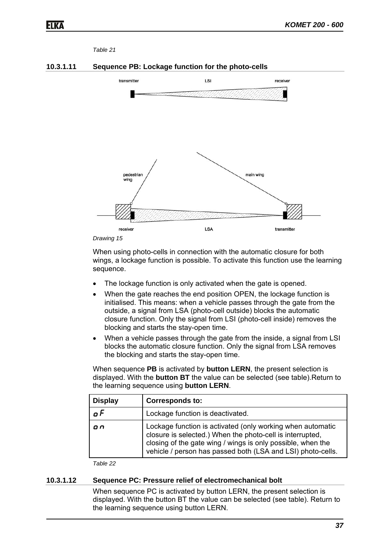#### *Table 21*





*Drawing 15* 

When using photo-cells in connection with the automatic closure for both wings, a lockage function is possible. To activate this function use the learning sequence.

- The lockage function is only activated when the gate is opened.
- When the gate reaches the end position OPEN, the lockage function is initialised. This means: when a vehicle passes through the gate from the outside, a signal from LSA (photo-cell outside) blocks the automatic closure function. Only the signal from LSI (photo-cell inside) removes the blocking and starts the stay-open time.
- When a vehicle passes through the gate from the inside, a signal from LSI blocks the automatic closure function. Only the signal from LSA removes the blocking and starts the stay-open time.

When sequence **PB** is activated by **button LERN**, the present selection is displayed. With the **button BT** the value can be selected (see table).Return to the learning sequence using **button LERN**.

| <b>Display</b> | <b>Corresponds to:</b>                                                                                                                                                                                                                                |
|----------------|-------------------------------------------------------------------------------------------------------------------------------------------------------------------------------------------------------------------------------------------------------|
| n F            | Lockage function is deactivated.                                                                                                                                                                                                                      |
| on             | Lockage function is activated (only working when automatic<br>closure is selected.) When the photo-cell is interrupted,<br>closing of the gate wing / wings is only possible, when the<br>vehicle / person has passed both (LSA and LSI) photo-cells. |

*Table 22* 

#### **10.3.1.12 Sequence PC: Pressure relief of electromechanical bolt**

When sequence PC is activated by button LERN, the present selection is displayed. With the button BT the value can be selected (see table). Return to the learning sequence using button LERN.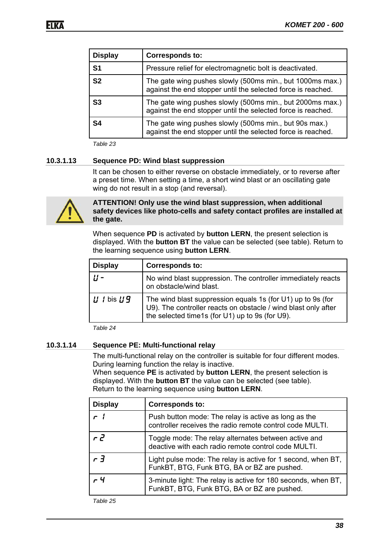| <b>Display</b> | <b>Corresponds to:</b>                                                                                                    |
|----------------|---------------------------------------------------------------------------------------------------------------------------|
| S <sub>1</sub> | Pressure relief for electromagnetic bolt is deactivated.                                                                  |
| S <sub>2</sub> | The gate wing pushes slowly (500ms min., but 1000ms max.)<br>against the end stopper until the selected force is reached. |
| S3             | The gate wing pushes slowly (500ms min., but 2000ms max.)<br>against the end stopper until the selected force is reached. |
| S4             | The gate wing pushes slowly (500ms min., but 90s max.)<br>against the end stopper until the selected force is reached.    |

*Table 23* 

#### **10.3.1.13 Sequence PD: Wind blast suppression**

It can be chosen to either reverse on obstacle immediately, or to reverse after a preset time. When setting a time, a short wind blast or an oscillating gate wing do not result in a stop (and reversal).



**ATTENTION! Only use the wind blast suppression, when additional safety devices like photo-cells and safety contact profiles are installed at the gate.**

When sequence **PD** is activated by **button LERN**, the present selection is displayed. With the **button BT** the value can be selected (see table). Return to the learning sequence using **button LERN**.

| <b>Display</b> | <b>Corresponds to:</b>                                                                                                                                                        |
|----------------|-------------------------------------------------------------------------------------------------------------------------------------------------------------------------------|
|                | No wind blast suppression. The controller immediately reacts<br>on obstacle/wind blast.                                                                                       |
| $U$ / bis $U9$ | The wind blast suppression equals 1s (for U1) up to 9s (for U9). The controller reacts on obstacle / wind blast only after<br>the selected time1s (for U1) up to 9s (for U9). |

*Table 24* 

#### **10.3.1.14 Sequence PE: Multi-functional relay**

The multi-functional relay on the controller is suitable for four different modes. During learning function the relay is inactive.

When sequence **PE** is activated by **button LERN**, the present selection is displayed. With the **button BT** the value can be selected (see table). Return to the learning sequence using **button LERN**.

| <b>Display</b> | <b>Corresponds to:</b>                                                                                           |
|----------------|------------------------------------------------------------------------------------------------------------------|
| $\mathsf{r}$ 1 | Push button mode: The relay is active as long as the<br>controller receives the radio remote control code MULTI. |
| r 2            | Toggle mode: The relay alternates between active and<br>deactive with each radio remote control code MULTI.      |
| $r \bar{d}$    | Light pulse mode: The relay is active for 1 second, when BT,<br>FunkBT, BTG, Funk BTG, BA or BZ are pushed.      |
| $-4$           | 3-minute light: The relay is active for 180 seconds, when BT,<br>FunkBT, BTG, Funk BTG, BA or BZ are pushed.     |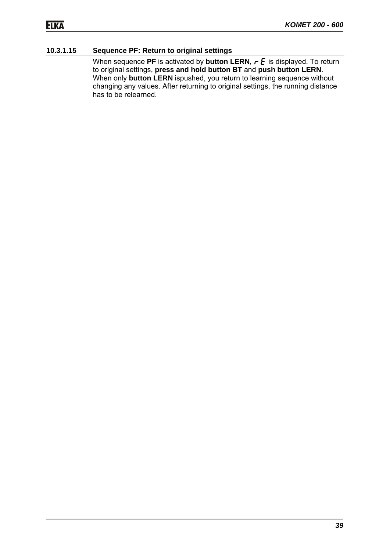#### **10.3.1.15 Sequence PF: Return to original settings**

When sequence **PF** is activated by **button LERN**,  $\mathbf{r} \mathbf{F}$  is displayed. To return to original settings, **press and hold button BT** and **push button LERN**. When only **button LERN** ispushed, you return to learning sequence without changing any values. After returning to original settings, the running distance has to be relearned.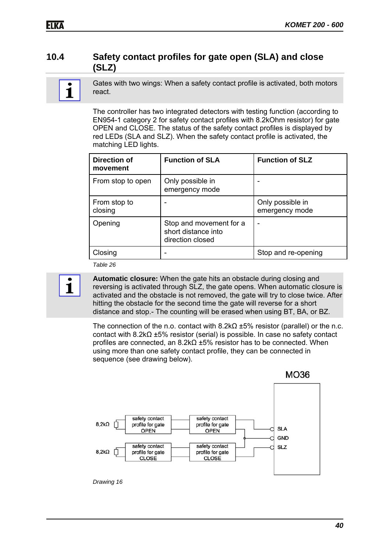### **10.4 Safety contact profiles for gate open (SLA) and close (SLZ)**

1

Gates with two wings: When a safety contact profile is activated, both motors react.

The controller has two integrated detectors with testing function (according to EN954-1 category 2 for safety contact profiles with 8.2kOhm resistor) for gate OPEN and CLOSE. The status of the safety contact profiles is displayed by red LEDs (SLA and SLZ). When the safety contact profile is activated, the matching LED lights.

| Direction of<br>movement | <b>Function of SLA</b>                                             | <b>Function of SLZ</b>             |
|--------------------------|--------------------------------------------------------------------|------------------------------------|
| From stop to open        | Only possible in<br>emergency mode                                 |                                    |
| From stop to<br>closing  |                                                                    | Only possible in<br>emergency mode |
| Opening                  | Stop and movement for a<br>short distance into<br>direction closed |                                    |
| Closing                  |                                                                    | Stop and re-opening                |

*Table 26* 



**Automatic closure:** When the gate hits an obstacle during closing and reversing is activated through SLZ, the gate opens. When automatic closure is activated and the obstacle is not removed, the gate will try to close twice. After hitting the obstacle for the second time the gate will reverse for a short distance and stop.- The counting will be erased when using BT, BA, or BZ.

The connection of the n.o. contact with  $8.2k\Omega \pm 5\%$  resistor (parallel) or the n.c. contact with 8.2kΩ ±5% resistor (serial) is possible. In case no safety contact profiles are connected, an 8.2kΩ ±5% resistor has to be connected. When using more than one safety contact profile, they can be connected in sequence (see drawing below).

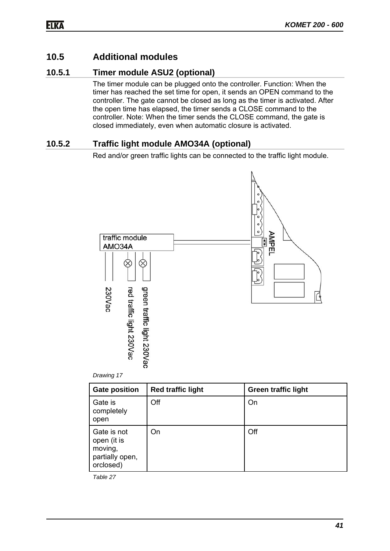### **10.5 Additional modules**

### **10.5.1 Timer module ASU2 (optional)**

The timer module can be plugged onto the controller. Function: When the timer has reached the set time for open, it sends an OPEN command to the controller. The gate cannot be closed as long as the timer is activated. After the open time has elapsed, the timer sends a CLOSE command to the controller. Note: When the timer sends the CLOSE command, the gate is closed immediately, even when automatic closure is activated.

### **10.5.2 Traffic light module AMO34A (optional)**

Red and/or green traffic lights can be connected to the traffic light module.





| <b>Gate position</b>                                                  | <b>Red traffic light</b> | <b>Green traffic light</b> |
|-----------------------------------------------------------------------|--------------------------|----------------------------|
| Gate is<br>completely<br>open                                         | Off                      | On                         |
| Gate is not<br>open (it is<br>moving,<br>partially open,<br>orclosed) | On                       | Off                        |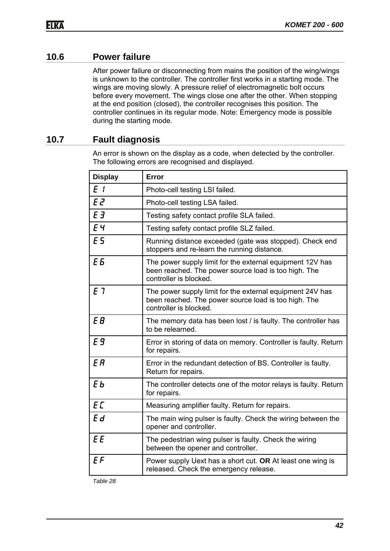### **10.6 Power failure**

After power failure or disconnecting from mains the position of the wing/wings is unknown to the controller. The controller first works in a starting mode. The wings are moving slowly. A pressure relief of electromagnetic bolt occurs before every movement. The wings close one after the other. When stopping at the end position (closed), the controller recognises this position. The controller continues in its regular mode. Note: Emergency mode is possible during the starting mode.

### **10.7 Fault diagnosis**

An error is shown on the display as a code, when detected by the controller. The following errors are recognised and displayed.

| <b>Display</b> | Error                                                                                                                                       |
|----------------|---------------------------------------------------------------------------------------------------------------------------------------------|
| E <sub>1</sub> | Photo-cell testing LSI failed.                                                                                                              |
| E <sub>2</sub> | Photo-cell testing LSA failed.                                                                                                              |
| E <sub>3</sub> | Testing safety contact profile SLA failed.                                                                                                  |
| EЧ             | Testing safety contact profile SLZ failed.                                                                                                  |
| E 5            | Running distance exceeded (gate was stopped). Check end<br>stoppers and re-learn the running distance.                                      |
| E <sub>5</sub> | The power supply limit for the external equipment 12V has<br>been reached. The power source load is too high. The<br>controller is blocked. |
| E 7            | The power supply limit for the external equipment 24V has<br>been reached. The power source load is too high. The<br>controller is blocked. |
| E B            | The memory data has been lost / is faulty. The controller has<br>to be relearned.                                                           |
| E <sub>9</sub> | Error in storing of data on memory. Controller is faulty. Return<br>for repairs.                                                            |
| E <sub>R</sub> | Error in the redundant detection of BS. Controller is faulty.<br>Return for repairs.                                                        |
| EЬ             | The controller detects one of the motor relays is faulty. Return<br>for repairs.                                                            |
| EC             | Measuring amplifier faulty. Return for repairs.                                                                                             |
| Ed             | The main wing pulser is faulty. Check the wiring between the<br>opener and controller.                                                      |
| <b>EE</b>      | The pedestrian wing pulser is faulty. Check the wiring<br>between the opener and controller.                                                |
| $E$ $F$        | Power supply Uext has a short cut. OR At least one wing is<br>released. Check the emergency release.                                        |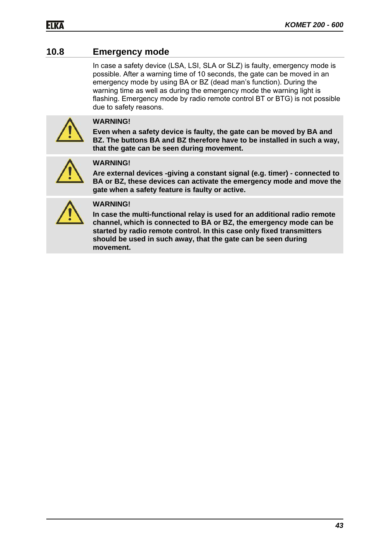### **10.8 Emergency mode**

In case a safety device (LSA, LSI, SLA or SLZ) is faulty, emergency mode is possible. After a warning time of 10 seconds, the gate can be moved in an emergency mode by using BA or BZ (dead man's function). During the warning time as well as during the emergency mode the warning light is flashing. Emergency mode by radio remote control BT or BTG) is not possible due to safety reasons.



#### **WARNING!**

**Even when a safety device is faulty, the gate can be moved by BA and BZ. The buttons BA and BZ therefore have to be installed in such a way, that the gate can be seen during movement.** 



#### **WARNING!**

**Are external devices -giving a constant signal (e.g. timer) - connected to BA or BZ, these devices can activate the emergency mode and move the gate when a safety feature is faulty or active.** 



#### **WARNING!**

**In case the multi-functional relay is used for an additional radio remote channel, which is connected to BA or BZ, the emergency mode can be started by radio remote control. In this case only fixed transmitters should be used in such away, that the gate can be seen during movement.**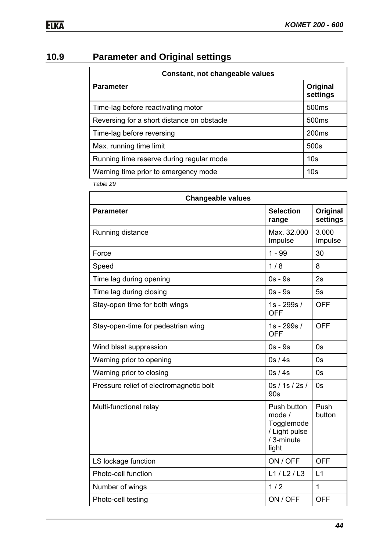# **10.9 Parameter and Original settings**

| Constant, not changeable values            |                      |  |
|--------------------------------------------|----------------------|--|
| <b>Parameter</b>                           | Original<br>settings |  |
| Time-lag before reactivating motor         | 500 <sub>ms</sub>    |  |
| Reversing for a short distance on obstacle | 500 <sub>ms</sub>    |  |
| Time-lag before reversing                  | 200 <sub>ms</sub>    |  |
| Max. running time limit                    | 500s                 |  |
| Running time reserve during regular mode   | 10 <sub>s</sub>      |  |
| Warning time prior to emergency mode       | 10 <sub>s</sub>      |  |

| <b>Changeable values</b>                |                                                                                               |                      |  |
|-----------------------------------------|-----------------------------------------------------------------------------------------------|----------------------|--|
| <b>Parameter</b>                        | <b>Selection</b><br>range                                                                     | Original<br>settings |  |
| Running distance                        | Max. 32.000<br>Impulse                                                                        | 3.000<br>Impulse     |  |
| Force                                   | $1 - 99$                                                                                      | 30                   |  |
| Speed                                   | 1/8                                                                                           | 8                    |  |
| Time lag during opening                 | $0s - 9s$                                                                                     | 2s                   |  |
| Time lag during closing                 | $0s - 9s$                                                                                     | 5s                   |  |
| Stay-open time for both wings           | 1s - 299s /<br><b>OFF</b>                                                                     | <b>OFF</b>           |  |
| Stay-open-time for pedestrian wing      | 1s - 299s /<br><b>OFF</b>                                                                     | <b>OFF</b>           |  |
| Wind blast suppression                  | $0s - 9s$                                                                                     | 0s                   |  |
| Warning prior to opening                | 0s / 4s<br>0s                                                                                 |                      |  |
| Warning prior to closing                | 0s/4s<br>0s                                                                                   |                      |  |
| Pressure relief of electromagnetic bolt | 0s / 1s / 2s /<br>90s                                                                         | 0s                   |  |
| Multi-functional relay                  | Push<br>Push button<br>mode /<br>button<br>Togglemode<br>/ Light pulse<br>/ 3-minute<br>light |                      |  |
| LS lockage function                     | ON / OFF                                                                                      | <b>OFF</b>           |  |
| Photo-cell function                     | L1/L2/L3                                                                                      | L1                   |  |
| Number of wings                         | 1/2                                                                                           | $\mathbf{1}$         |  |
| Photo-cell testing                      | ON / OFF                                                                                      | <b>OFF</b>           |  |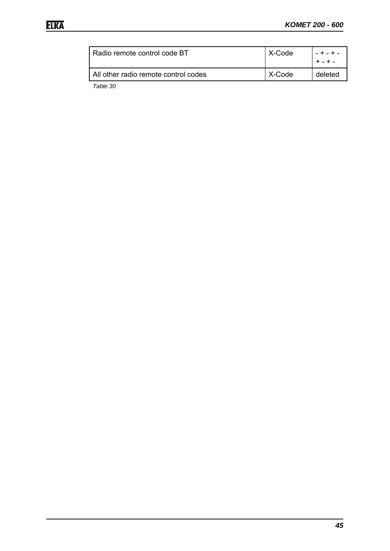| Radio remote control code BT         | X-Code | $- + - + -$ |
|--------------------------------------|--------|-------------|
| All other radio remote control codes | X-Code | deleted     |